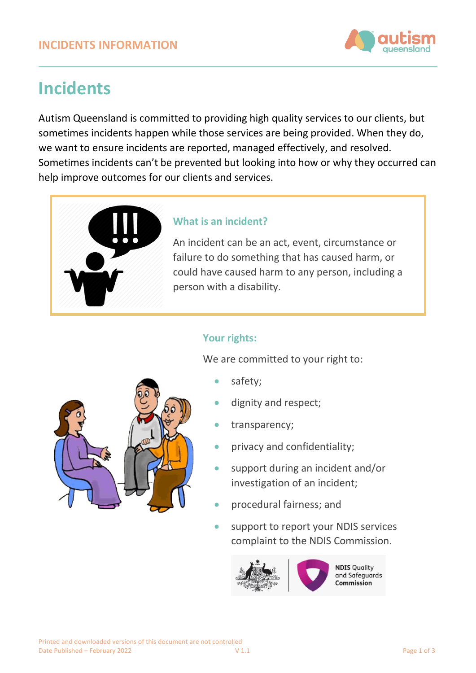

# **Incidents**

Autism Queensland is committed to providing high quality services to our clients, but sometimes incidents happen while those services are being provided. When they do, we want to ensure incidents are reported, managed effectively, and resolved. Sometimes incidents can't be prevented but looking into how or why they occurred can help improve outcomes for our clients and services.



# **What is an incident?**

An incident can be an act, event, circumstance or failure to do something that has caused harm, or could have caused harm to any person, including a person with a disability.

# **Your rights:**

We are committed to your right to:

- safety;
- dignity and respect;
- transparency;
- privacy and confidentiality;
- support during an incident and/or investigation of an incident;
- procedural fairness; and
- support to report your NDIS services complaint to the NDIS Commission.



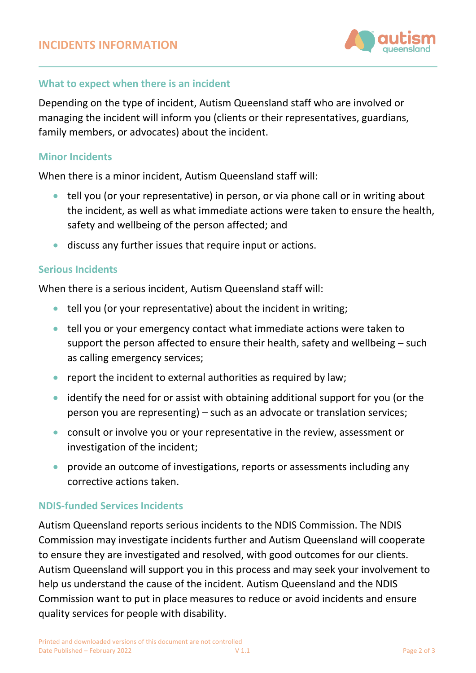

## **What to expect when there is an incident**

Depending on the type of incident, Autism Queensland staff who are involved or managing the incident will inform you (clients or their representatives, guardians, family members, or advocates) about the incident.

#### **Minor Incidents**

When there is a minor incident, Autism Queensland staff will:

- tell you (or your representative) in person, or via phone call or in writing about the incident, as well as what immediate actions were taken to ensure the health, safety and wellbeing of the person affected; and
- discuss any further issues that require input or actions.

#### **Serious Incidents**

When there is a serious incident, Autism Queensland staff will:

- tell you (or your representative) about the incident in writing;
- tell you or your emergency contact what immediate actions were taken to support the person affected to ensure their health, safety and wellbeing – such as calling emergency services;
- report the incident to external authorities as required by law;
- identify the need for or assist with obtaining additional support for you (or the person you are representing) – such as an advocate or translation services;
- consult or involve you or your representative in the review, assessment or investigation of the incident;
- provide an outcome of investigations, reports or assessments including any corrective actions taken.

## **NDIS-funded Services Incidents**

Autism Queensland reports serious incidents to the NDIS Commission. The NDIS Commission may investigate incidents further and Autism Queensland will cooperate to ensure they are investigated and resolved, with good outcomes for our clients. Autism Queensland will support you in this process and may seek your involvement to help us understand the cause of the incident. Autism Queensland and the NDIS Commission want to put in place measures to reduce or avoid incidents and ensure quality services for people with disability.